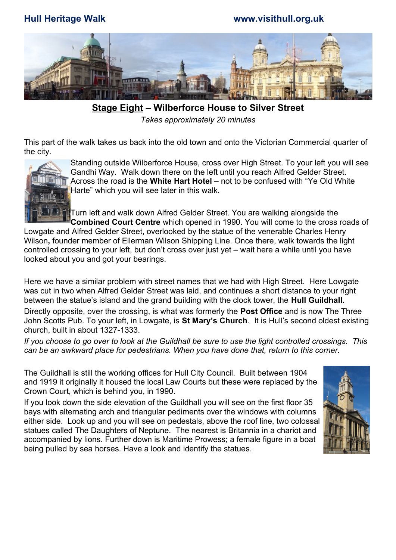**Hull Heritage Walk www.visithull.org.uk**



 **Stage Eight – Wilberforce House to Silver Street** *Takes approximately 20 minutes*

This part of the walk takes us back into the old town and onto the Victorian Commercial quarter of the city.



Standing outside Wilberforce House, cross over High Street. To your left you will see Gandhi Way. Walk down there on the left until you reach Alfred Gelder Street. Across the road is the **White Hart Hotel** – not to be confused with "Ye Old White Harte" which you will see later in this walk.

Turn left and walk down Alfred Gelder Street. You are walking alongside the **Combined Court Centre** which opened in 1990. You will come to the cross roads of Lowgate and Alfred Gelder Street, overlooked by the statue of the venerable Charles Henry Wilson**,** founder member of Ellerman Wilson Shipping Line. Once there, walk towards the light controlled crossing to your left, but don't cross over just yet – wait here a while until you have looked about you and got your bearings.

Here we have a similar problem with street names that we had with High Street. Here Lowgate was cut in two when Alfred Gelder Street was laid, and continues a short distance to your right between the statue's island and the grand building with the clock tower, the **Hull Guildhall.**

Directly opposite, over the crossing, is what was formerly the **Post Office** and is now The Three John Scotts Pub. To your left, in Lowgate, is **St Mary's Church**. It is Hull's second oldest existing church, built in about 1327-1333.

*If you choose to go over to look at the Guildhall be sure to use the light controlled crossings. This can be an awkward place for pedestrians. When you have done that, return to this corner.* 

The Guildhall is still the working offices for Hull City Council. Built between 1904 and 1919 it originally it housed the local Law Courts but these were replaced by the Crown Court, which is behind you, in 1990.

If you look down the side elevation of the Guildhall you will see on the first floor 35 bays with alternating arch and triangular pediments over the windows with columns either side. Look up and you will see on pedestals, above the roof line, two colossal statues called The Daughters of Neptune. The nearest is Britannia in a chariot and accompanied by lions. Further down is Maritime Prowess; a female figure in a boat being pulled by sea horses. Have a look and identify the statues.

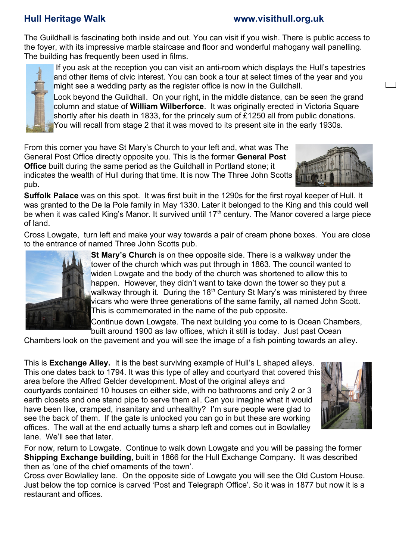### **Hull Heritage Walk www.visithull.org.uk**

The Guildhall is fascinating both inside and out. You can visit if you wish. There is public access to the foyer, with its impressive marble staircase and floor and wonderful mahogany wall panelling. The building has frequently been used in films.



 If you ask at the reception you can visit an anti-room which displays the Hull's tapestries and other items of civic interest. You can book a tour at select times of the year and you might see a wedding party as the register office is now in the Guildhall.

Look beyond the Guildhall. On your right, in the middle distance, can be seen the grand column and statue of **William Wilberforce**. It was originally erected in Victoria Square shortly after his death in 1833, for the princely sum of £1250 all from public donations. You will recall from stage 2 that it was moved to its present site in the early 1930s.

From this corner you have St Mary's Church to your left and, what was The General Post Office directly opposite you. This is the former **General Post Office** built during the same period as the Guildhall in Portland stone; it indicates the wealth of Hull during that time. It is now The Three John Scotts pub.

**Suffolk Palace** was on this spot. It was first built in the 1290s for the first royal keeper of Hull. It was granted to the De la Pole family in May 1330. Later it belonged to the King and this could well be when it was called King's Manor. It survived until  $17<sup>th</sup>$  century. The Manor covered a large piece of land.

Cross Lowgate, turn left and make your way towards a pair of cream phone boxes. You are close to the entrance of named Three John Scotts pub.



**St Mary's Church** is on thee opposite side. There is a walkway under the tower of the church which was put through in 1863. The council wanted to widen Lowgate and the body of the church was shortened to allow this to happen. However, they didn't want to take down the tower so they put a walkway through it. During the 18<sup>th</sup> Century St Mary's was ministered by three vicars who were three generations of the same family, all named John Scott. This is commemorated in the name of the pub opposite.

Continue down Lowgate. The next building you come to is Ocean Chambers, built around 1900 as law offices, which it still is today. Just past Ocean

Chambers look on the pavement and you will see the image of a fish pointing towards an alley.

This is **Exchange Alley.** It is the best surviving example of Hull's L shaped alleys. This one dates back to 1794. It was this type of alley and courtyard that covered this area before the Alfred Gelder development. Most of the original alleys and courtyards contained 10 houses on either side, with no bathrooms and only 2 or 3 earth closets and one stand pipe to serve them all. Can you imagine what it would have been like, cramped, insanitary and unhealthy? I'm sure people were glad to see the back of them. If the gate is unlocked you can go in but these are working offices. The wall at the end actually turns a sharp left and comes out in Bowlalley lane. We'll see that later.



For now, return to Lowgate. Continue to walk down Lowgate and you will be passing the former **Shipping Exchange building**, built in 1866 for the Hull Exchange Company. It was described then as 'one of the chief ornaments of the town'.

Cross over Bowlalley lane. On the opposite side of Lowgate you will see the Old Custom House. Just below the top cornice is carved 'Post and Telegraph Office'. So it was in 1877 but now it is a restaurant and offices.